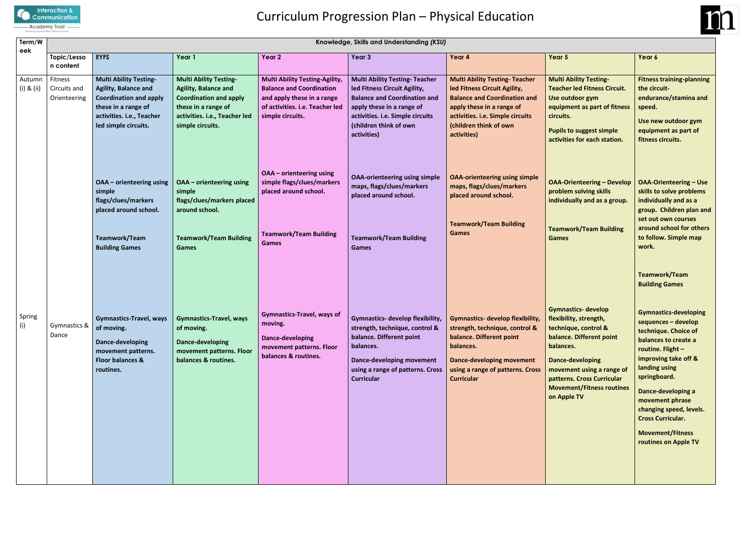

# Curriculum Progression Plan – Physical Education

| Term/W                   | Knowledge, Skills and Understanding (KSU) |                                                                                                                                                                           |                                                                                                                                                                           |                                                                                                                                                               |                                                                                                                                                                                                                        |                                                                                                                                                                                                                                             |                                                                                                                                                                                                                                                         |                                                                                                                                                                                        |  |  |
|--------------------------|-------------------------------------------|---------------------------------------------------------------------------------------------------------------------------------------------------------------------------|---------------------------------------------------------------------------------------------------------------------------------------------------------------------------|---------------------------------------------------------------------------------------------------------------------------------------------------------------|------------------------------------------------------------------------------------------------------------------------------------------------------------------------------------------------------------------------|---------------------------------------------------------------------------------------------------------------------------------------------------------------------------------------------------------------------------------------------|---------------------------------------------------------------------------------------------------------------------------------------------------------------------------------------------------------------------------------------------------------|----------------------------------------------------------------------------------------------------------------------------------------------------------------------------------------|--|--|
| eek                      | Topic/Lesso<br>n content                  | <b>EYFS</b>                                                                                                                                                               | Year 1                                                                                                                                                                    | Year <sub>2</sub>                                                                                                                                             | Year 3                                                                                                                                                                                                                 | Year 4                                                                                                                                                                                                                                      | Year 5                                                                                                                                                                                                                                                  | Year 6                                                                                                                                                                                 |  |  |
| Autumn<br>$(i)$ & $(ii)$ | Fitness<br>Circuits and<br>Orienteering   | <b>Multi Ability Testing-</b><br><b>Agility, Balance and</b><br><b>Coordination and apply</b><br>these in a range of<br>activities. i.e., Teacher<br>led simple circuits. | <b>Multi Ability Testing-</b><br><b>Agility, Balance and</b><br><b>Coordination and apply</b><br>these in a range of<br>activities. i.e., Teacher led<br>simple circuits. | <b>Multi Ability Testing-Agility,</b><br><b>Balance and Coordination</b><br>and apply these in a range<br>of activities. i.e. Teacher led<br>simple circuits. | <b>Multi Ability Testing- Teacher</b><br>led Fitness Circuit Agility,<br><b>Balance and Coordination and</b><br>apply these in a range of<br>activities. i.e. Simple circuits<br>(children think of own<br>activities) | <b>Multi Ability Testing- Teacher</b><br>led Fitness Circuit Agility,<br><b>Balance and Coordination and</b><br>apply these in a range of<br>activities. i.e. Simple circuits<br>(children think of own<br>activities)                      | <b>Multi Ability Testing-</b><br><b>Teacher led Fitness Circuit.</b><br>Use outdoor gym<br>equipment as part of fitness<br>circuits.<br><b>Pupils to suggest simple</b><br>activities for each station.                                                 | <b>Fitness</b><br>the cir<br>endura<br>speed.<br>Use ne<br>equipr<br>fitness                                                                                                           |  |  |
|                          |                                           | OAA - orienteering using<br>simple<br>flags/clues/markers<br>placed around school.                                                                                        | OAA - orienteering using<br>simple<br>flags/clues/markers placed<br>around school.                                                                                        | <b>OAA</b> - orienteering using<br>simple flags/clues/markers<br>placed around school.                                                                        | <b>OAA-orienteering using simple</b><br>maps, flags/clues/markers<br>placed around school.                                                                                                                             | <b>OAA-orienteering using simple</b><br>maps, flags/clues/markers<br>placed around school.                                                                                                                                                  | <b>OAA-Orienteering - Develop</b><br>problem solving skills<br>individually and as a group.                                                                                                                                                             | <b>OAA-C</b><br>skills t<br>individ<br>group.                                                                                                                                          |  |  |
|                          |                                           | <b>Teamwork/Team</b><br><b>Building Games</b>                                                                                                                             | <b>Teamwork/Team Building</b><br><b>Games</b>                                                                                                                             | <b>Teamwork/Team Building</b><br>Games                                                                                                                        | <b>Teamwork/Team Building</b><br><b>Games</b>                                                                                                                                                                          | <b>Teamwork/Team Building</b><br><b>Games</b>                                                                                                                                                                                               | <b>Teamwork/Team Building</b><br><b>Games</b>                                                                                                                                                                                                           | set out<br>around<br>to foll<br>work.                                                                                                                                                  |  |  |
| Spring<br>(i)            | Gymnastics &<br>Dance                     | of moving.<br>Dance-developing<br>movement patterns.<br>Floor balances &<br>routines.                                                                                     | Gymnastics-Travel, ways   Gymnastics-Travel, ways<br>of moving.<br>Dance-developing<br>movement patterns. Floor<br>balances & routines.                                   | <b>Gymnastics-Travel, ways of</b><br>moving.<br>Dance-developing<br>movement patterns. Floor<br>balances & routines.                                          | strength, technique, control &<br>balance. Different point<br>balances.<br><b>Dance-developing movement</b><br>using a range of patterns. Cross<br><b>Curricular</b>                                                   | Gymnastics- develop flexibility,   Gymnastics- develop flexibility,<br>strength, technique, control &<br>balance. Different point<br>balances.<br><b>Dance-developing movement</b><br>using a range of patterns. Cross<br><b>Curricular</b> | <b>Gymnastics- develop</b><br>flexibility, strength,<br>technique, control &<br>balance. Different point<br>balances.<br>Dance-developing<br>movement using a range of<br>patterns. Cross Curricular<br><b>Movement/Fitness routines</b><br>on Apple TV | <b>Teamv</b><br><b>Buildir</b><br>Gymna<br>sequer<br>techni<br>balanc<br>routin<br>improv<br>landing<br>spring<br><b>Dance</b><br>mover<br>changi<br>Cross (<br><b>Mover</b><br>routin |  |  |

**Fitness training-planning the circuitendurance/stamina and speed.**

**Use new outdoor gym equipment as part of fitness circuits.**

**OAA-Orienteering – Use skills to solve problems individually and as a group. Children plan and set out own courses around school for others to follow. Simple map work.**

**Teamwork/Team Building Games**

**Gymnastics-developing sequences – develop technique. Choice of balances to create a routine. Flight – improving take off & landing using springboard.**

**Dance-developing a movement phrase changing speed, levels. Cross Curricular.**

**Movement/Fitness routines on Apple TV**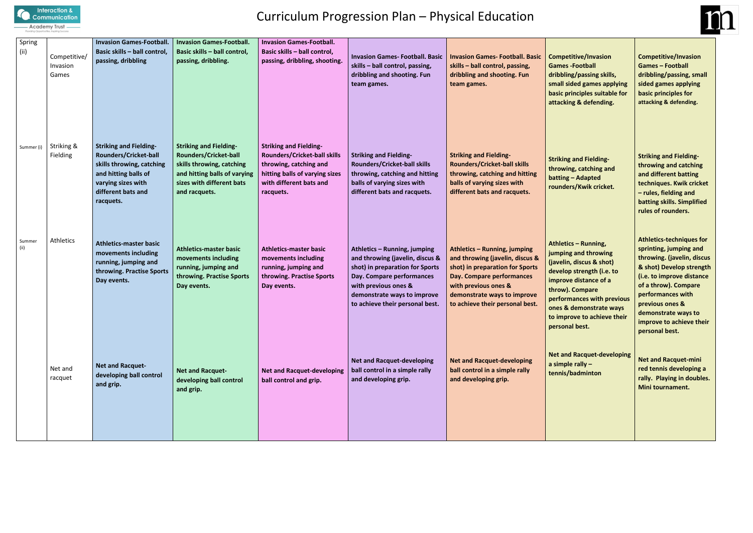

## Curriculum Progression Plan – Physical Education

king and Fielding**throwing, catching and batting – Adapted rounders/Kwik cricket.**

**Athletics – Running, ing and throwing (javelin, discus & shot) delay** strength (i.e. to **indige contact contact throw). Compare performances with previous ones & demonstrate ways to improve to achieve their peral best.** 

| Spring<br>(ii) | Competitive/<br>Invasion<br>Games | <b>Invasion Games-Football.</b><br>Basic skills - ball control,<br>passing, dribbling                                                                                | <b>Invasion Games-Football.</b><br>Basic skills - ball control,<br>passing, dribbling.                                                                                   | <b>Invasion Games-Football.</b><br>Basic skills - ball control,<br>passing, dribbling, shooting.                                                                         | <b>Invasion Games-Football. Basic</b><br>skills - ball control, passing,<br>dribbling and shooting. Fun<br>team games.                                                                                                    | <b>Invasion Games-Football. Basic</b><br>skills - ball control, passing,<br>dribbling and shooting. Fun<br>team games.                                                                                                    | Con<br>Gan<br>drib<br>sma<br>basi<br>atta                                        |
|----------------|-----------------------------------|----------------------------------------------------------------------------------------------------------------------------------------------------------------------|--------------------------------------------------------------------------------------------------------------------------------------------------------------------------|--------------------------------------------------------------------------------------------------------------------------------------------------------------------------|---------------------------------------------------------------------------------------------------------------------------------------------------------------------------------------------------------------------------|---------------------------------------------------------------------------------------------------------------------------------------------------------------------------------------------------------------------------|----------------------------------------------------------------------------------|
| Summer (i)     | Striking &<br>Fielding            | <b>Striking and Fielding-</b><br>Rounders/Cricket-ball<br>skills throwing, catching<br>and hitting balls of<br>varying sizes with<br>different bats and<br>racquets. | <b>Striking and Fielding-</b><br><b>Rounders/Cricket-ball</b><br>skills throwing, catching<br>and hitting balls of varying<br>sizes with different bats<br>and racquets. | <b>Striking and Fielding-</b><br><b>Rounders/Cricket-ball skills</b><br>throwing, catching and<br>hitting balls of varying sizes<br>with different bats and<br>racquets. | <b>Striking and Fielding-</b><br><b>Rounders/Cricket-ball skills</b><br>throwing, catching and hitting<br>balls of varying sizes with<br>different bats and racquets.                                                     | <b>Striking and Fielding-</b><br><b>Rounders/Cricket-ball skills</b><br>throwing, catching and hitting<br>balls of varying sizes with<br>different bats and racquets.                                                     | <b>Stril</b><br>thro<br>batt<br>roul                                             |
| Summer<br>(ii) | Athletics                         | <b>Athletics-master basic</b><br>movements including<br>running, jumping and<br>throwing. Practise Sports<br>Day events.                                             | <b>Athletics-master basic</b><br>movements including<br>running, jumping and<br>throwing. Practise Sports<br>Day events.                                                 | <b>Athletics-master basic</b><br>movements including<br>running, jumping and<br>throwing. Practise Sports<br>Day events.                                                 | Athletics - Running, jumping<br>and throwing (javelin, discus &<br>shot) in preparation for Sports<br>Day. Compare performances<br>with previous ones &<br>demonstrate ways to improve<br>to achieve their personal best. | Athletics - Running, jumping<br>and throwing (javelin, discus &<br>shot) in preparation for Sports<br>Day. Compare performances<br>with previous ones &<br>demonstrate ways to improve<br>to achieve their personal best. | <b>Athl</b><br>jum<br>(jav<br>dev<br>imp<br>thro<br>perf<br>one<br>to ir<br>pers |
|                | Net and<br>racquet                | <b>Net and Racquet-</b><br>developing ball control<br>and grip.                                                                                                      | <b>Net and Racquet-</b><br>developing ball control<br>and grip.                                                                                                          | <b>Net and Racquet-developing</b><br>ball control and grip.                                                                                                              | <b>Net and Racquet-developing</b><br>ball control in a simple rally<br>and developing grip.                                                                                                                               | <b>Net and Racquet-developing</b><br>ball control in a simple rally<br>and developing grip.                                                                                                                               | <b>Net</b><br>a sir<br>tenr                                                      |



**Competitive/Invasion Games -Football dribbling/passing skills, small sided games applying** *<u>ic principles suitable for</u>* **attacking & defending.**

**Net and Racquet-developing a simple rally – tennis/badminton**

**Competitive/Invasion Games – Football dribbling/passing, small sided games applying basic principles for attacking & defending.**

**Striking and Fieldingthrowing and catching and different batting techniques. Kwik cricket – rules, fielding and batting skills. Simplified rules of rounders.**

**Athletics-techniques for sprinting, jumping and throwing. (javelin, discus & shot) Develop strength (i.e. to improve distance of a throw). Compare performances with previous ones & demonstrate ways to improve to achieve their personal best.**

**Net and Racquet-mini red tennis developing a rally. Playing in doubles. Mini tournament.**